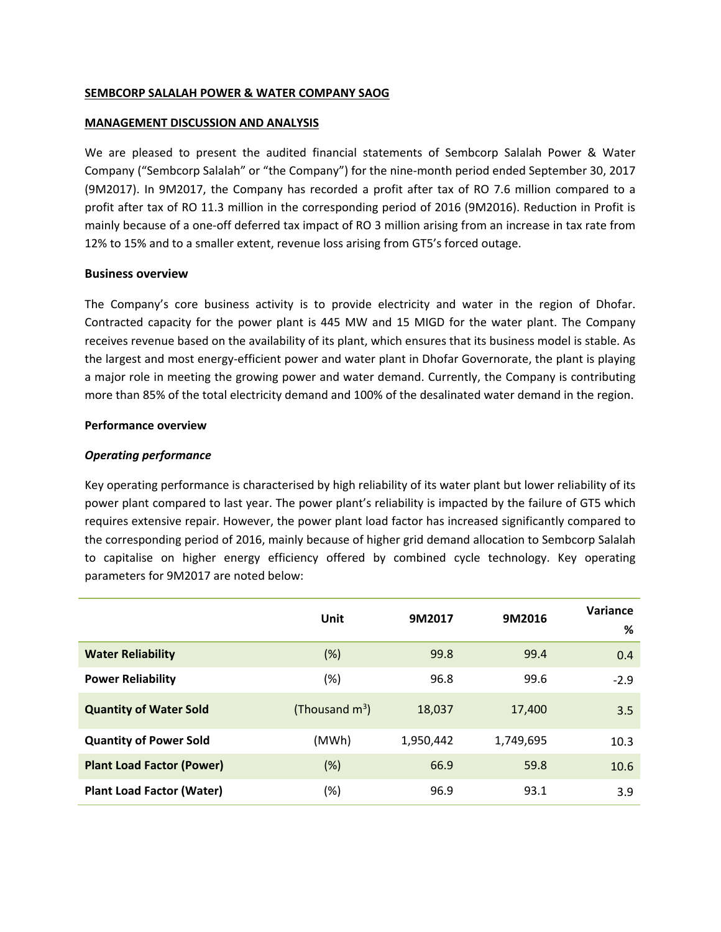### **SEMBCORP SALALAH POWER & WATER COMPANY SAOG**

### **MANAGEMENT DISCUSSION AND ANALYSIS**

We are pleased to present the audited financial statements of Sembcorp Salalah Power & Water Company ("Sembcorp Salalah" or "the Company") for the nine‐month period ended September 30, 2017 (9M2017). In 9M2017, the Company has recorded a profit after tax of RO 7.6 million compared to a profit after tax of RO 11.3 million in the corresponding period of 2016 (9M2016). Reduction in Profit is mainly because of a one‐off deferred tax impact of RO 3 million arising from an increase in tax rate from 12% to 15% and to a smaller extent, revenue loss arising from GT5's forced outage.

### **Business overview**

The Company's core business activity is to provide electricity and water in the region of Dhofar. Contracted capacity for the power plant is 445 MW and 15 MIGD for the water plant. The Company receives revenue based on the availability of its plant, which ensures that its business model is stable. As the largest and most energy‐efficient power and water plant in Dhofar Governorate, the plant is playing a major role in meeting the growing power and water demand. Currently, the Company is contributing more than 85% of the total electricity demand and 100% of the desalinated water demand in the region.

### **Performance overview**

# *Operating performance*

Key operating performance is characterised by high reliability of its water plant but lower reliability of its power plant compared to last year. The power plant's reliability is impacted by the failure of GT5 which requires extensive repair. However, the power plant load factor has increased significantly compared to the corresponding period of 2016, mainly because of higher grid demand allocation to Sembcorp Salalah to capitalise on higher energy efficiency offered by combined cycle technology. Key operating parameters for 9M2017 are noted below:

|                                  | Unit              | 9M2017    | 9M2016    | Variance<br>% |
|----------------------------------|-------------------|-----------|-----------|---------------|
| <b>Water Reliability</b>         | (%)               | 99.8      | 99.4      | 0.4           |
| <b>Power Reliability</b>         | (%)               | 96.8      | 99.6      | $-2.9$        |
| <b>Quantity of Water Sold</b>    | (Thousand $m^3$ ) | 18,037    | 17,400    | 3.5           |
| <b>Quantity of Power Sold</b>    | (MWh)             | 1,950,442 | 1,749,695 | 10.3          |
| <b>Plant Load Factor (Power)</b> | $(\%)$            | 66.9      | 59.8      | 10.6          |
| <b>Plant Load Factor (Water)</b> | (%)               | 96.9      | 93.1      | 3.9           |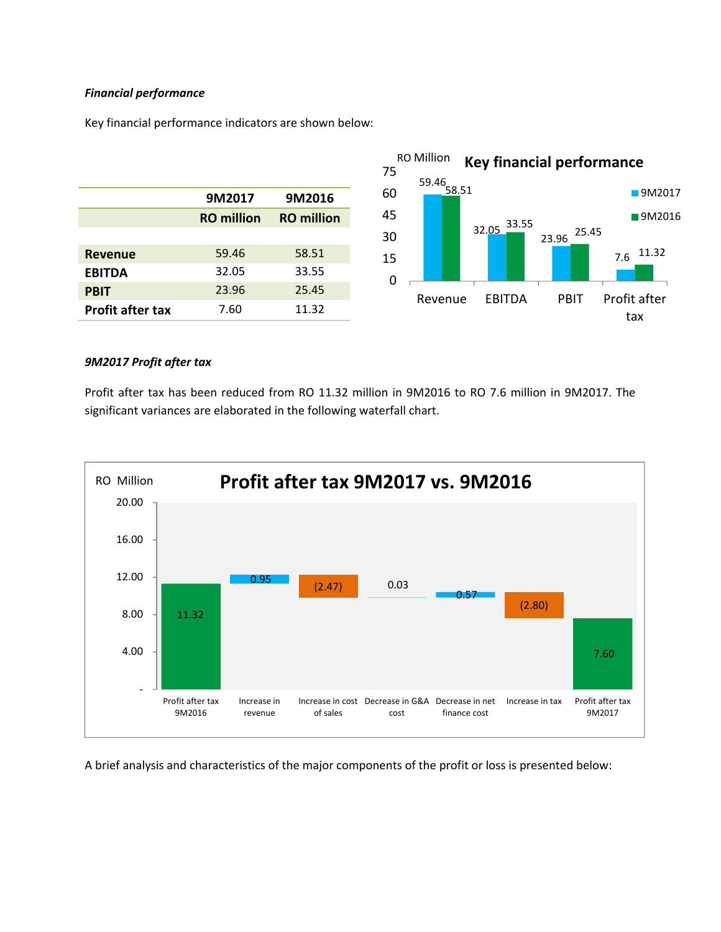# *Financial performance*

Key financial performance indicators are shown below:



# *9M2017 Profit after tax*

Profit after tax has been reduced from RO 11.32 million in 9M2016 to RO 7.6 million in 9M2017. The significant variances are elaborated in the following waterfall chart.



A brief analysis and characteristics of the major components of the profit or loss is presented below: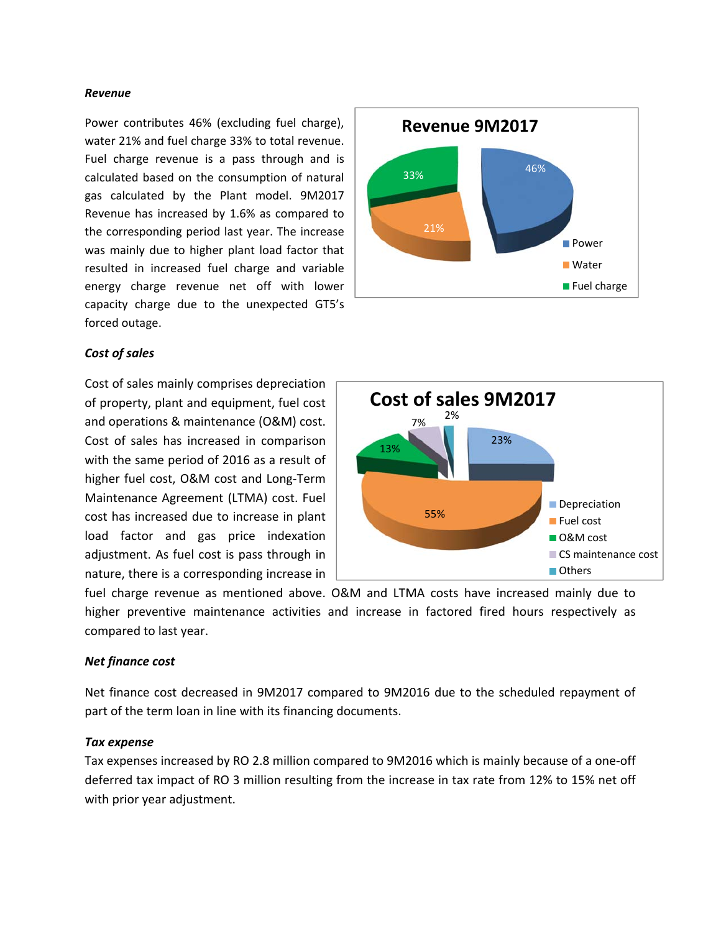#### *Revenue*

Power contributes 46% (excluding fuel charge), water 21% and fuel charge 33% to total revenue. Fuel charge revenue is a pass through and is calculated based on the consumption of natural gas calculated by the Plant model. 9M2017 Revenue has increased by 1.6% as compared to the corresponding period last year. The increase was mainly due to higher plant load factor that resulted in increased fuel charge and variable energy charge revenue net off with lower capacity charge due to the unexpected GT5's forced outage.



### *Cost of sales*

Cost of sales mainly comprises depreciation of property, plant and equipment, fuel cost and operations & maintenance (O&M) cost. Cost of sales has increased in comparison with the same period of 2016 as a result of higher fuel cost, O&M cost and Long-Term Maintenance Agreement (LTMA) cost. Fuel cost has increased due to increase in plant load factor and gas price indexation adjustment. As fuel cost is pass through in nature, there is a corresponding increase in



fuel charge revenue as mentioned above. O&M and LTMA costs have increased mainly due to higher preventive maintenance activities and increase in factored fired hours respectively as compared to last year.

### *Net finance cost*

Net finance cost decreased in 9M2017 compared to 9M2016 due to the scheduled repayment of part of the term loan in line with its financing documents.

### *Tax expense*

Tax expenses increased by RO 2.8 million compared to 9M2016 which is mainly because of a one‐off deferred tax impact of RO 3 million resulting from the increase in tax rate from 12% to 15% net off with prior year adjustment.